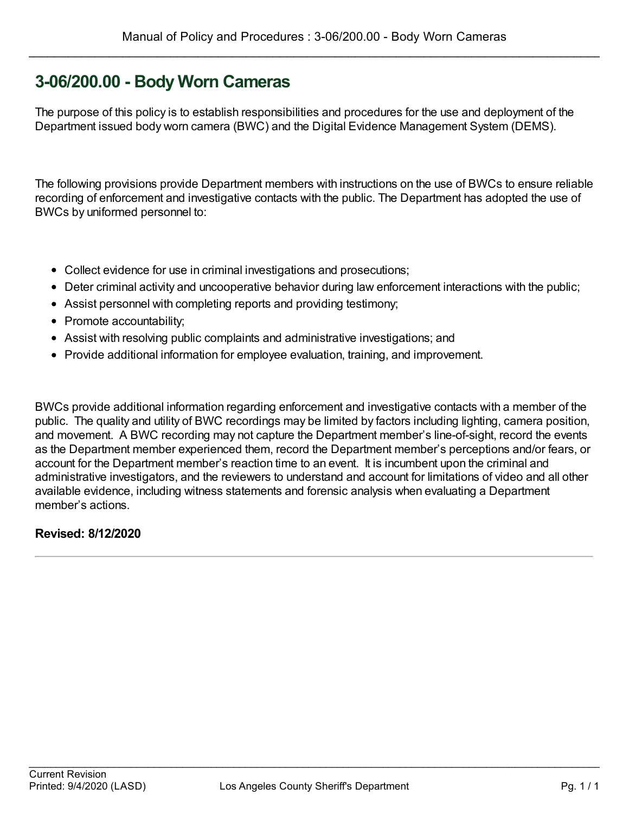### **3-06/200.00 - Body Worn Cameras**

The purpose of this policy is to establish responsibilities and procedures for the use and deployment of the Department issued body worn camera (BWC) and the Digital Evidence Management System (DEMS).

The following provisions provide Department members with instructions on the use of BWCs to ensure reliable recording of enforcement and investigative contacts with the public. The Department has adopted the use of BWCs by uniformed personnel to:

- Collect evidence for use in criminal investigations and prosecutions;
- Deter criminal activity and uncooperative behavior during law enforcement interactions with the public;
- Assist personnel with completing reports and providing testimony;
- Promote accountability;
- Assist with resolving public complaints and administrative investigations; and
- Provide additional information for employee evaluation, training, and improvement.

BWCs provide additional information regarding enforcement and investigative contacts with a member of the public. The quality and utility of BWC recordings may be limited by factors including lighting, camera position, and movement. A BWC recording may not capture the Department member's line-of-sight, record the events as the Department member experienced them, record the Department member's perceptions and/or fears, or account for the Department member's reaction time to an event. It is incumbent upon the criminal and administrative investigators, and the reviewers to understand and account for limitations of video and all other available evidence, including witness statements and forensic analysis when evaluating a Department member's actions.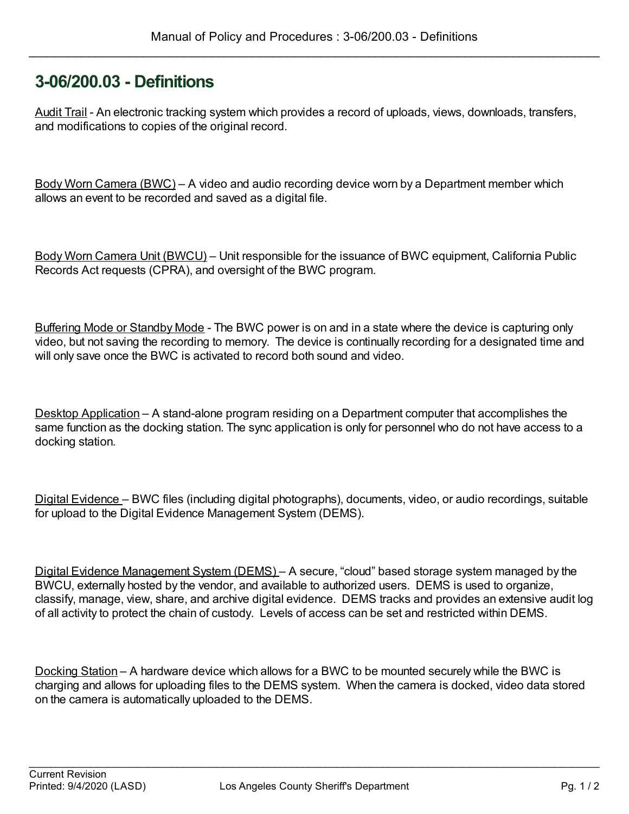### **3-06/200.03 - Definitions**

Audit Trail - An electronic tracking system which provides a record of uploads, views, downloads, transfers, and modifications to copies of the original record.

Body Worn Camera (BWC) – A video and audio recording device worn by a Department member which allows an event to be recorded and saved as a digital file.

Body Worn Camera Unit (BWCU) – Unit responsible for the issuance of BWC equipment, California Public Records Act requests (CPRA), and oversight of the BWC program.

Buffering Mode or Standby Mode - The BWC power is on and in a state where the device is capturing only video, but not saving the recording to memory. The device is continually recording for a designated time and will only save once the BWC is activated to record both sound and video.

Desktop Application – A stand-alone program residing on a Department computer that accomplishes the same function as the docking station. The sync application is only for personnel who do not have access to a docking station.

Digital Evidence – BWC files (including digital photographs), documents, video, or audio recordings, suitable for upload to the Digital Evidence Management System (DEMS).

Digital Evidence Management System (DEMS) – A secure, "cloud" based storage system managed by the BWCU, externally hosted by the vendor, and available to authorized users. DEMS is used to organize, classify, manage, view, share, and archive digital evidence. DEMS tracks and provides an extensive audit log of all activity to protect the chain of custody. Levels of access can be set and restricted within DEMS.

Docking Station – A hardware device which allows for a BWC to be mounted securely while the BWC is charging and allows for uploading files to the DEMS system. When the camera is docked, video data stored on the camera is automatically uploaded to the DEMS.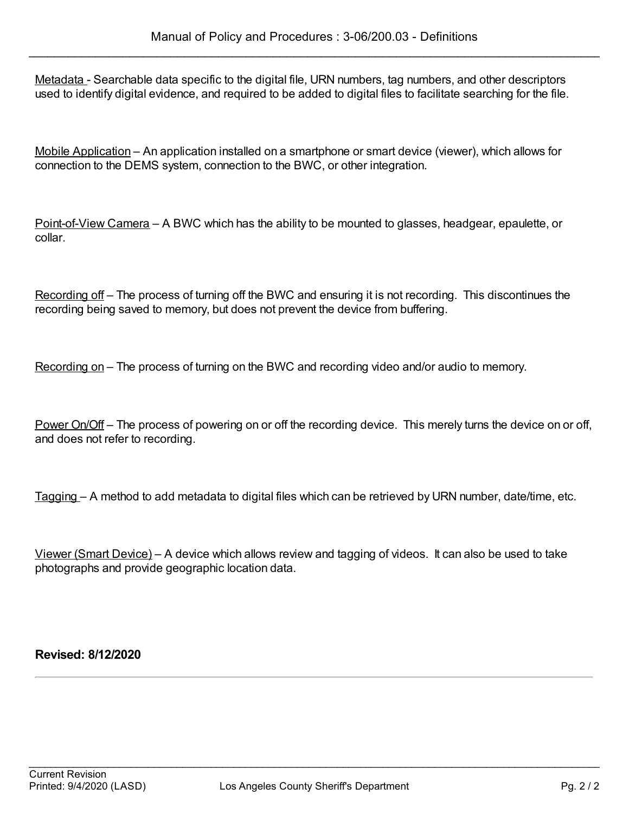Metadata - Searchable data specific to the digital file, URN numbers, tag numbers, and other descriptors used to identify digital evidence, and required to be added to digital files to facilitate searching for the file.

Mobile Application – An application installed on a smartphone or smart device (viewer), which allows for connection to the DEMS system, connection to the BWC, or other integration.

Point-of-View Camera – A BWC which has the ability to be mounted to glasses, headgear, epaulette, or collar.

Recording off – The process of turning off the BWC and ensuring it is not recording. This discontinues the recording being saved to memory, but does not prevent the device from buffering.

Recording on – The process of turning on the BWC and recording video and/or audio to memory.

Power On/Off – The process of powering on or off the recording device. This merely turns the device on or off, and does not refer to recording.

Tagging – A method to add metadata to digital files which can be retrieved by URN number, date/time, etc.

Viewer (Smart Device) – A device which allows review and tagging of videos. It can also be used to take photographs and provide geographic location data.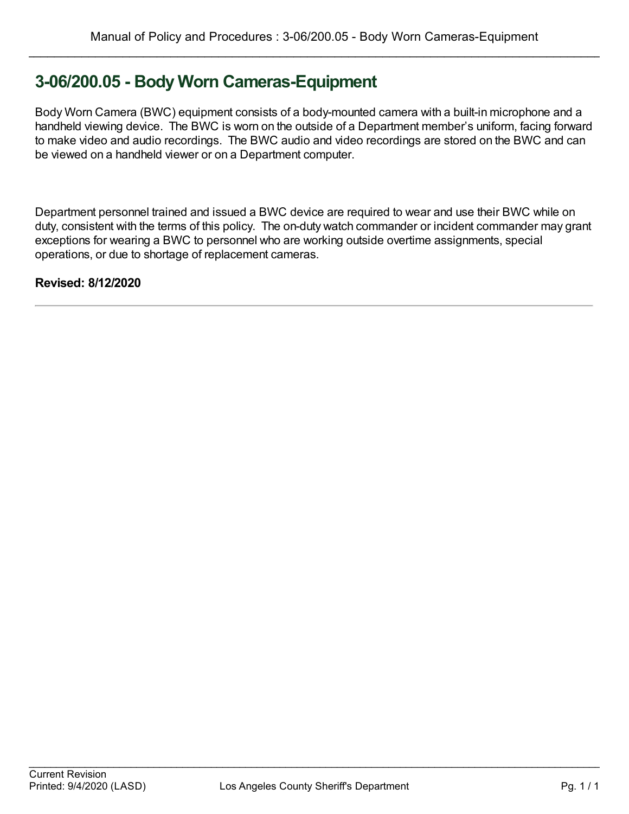# **3-06/200.05 - Body Worn Cameras-Equipment**

Body Worn Camera (BWC) equipment consists of a body-mounted camera with a built-in microphone and a handheld viewing device. The BWC is worn on the outside of a Department member's uniform, facing forward to make video and audio recordings. The BWC audio and video recordings are stored on the BWC and can be viewed on a handheld viewer or on a Department computer.

Department personnel trained and issued a BWC device are required to wear and use their BWC while on duty, consistent with the terms of this policy. The on-duty watch commander or incident commander may grant exceptions for wearing a BWC to personnel who are working outside overtime assignments, special operations, or due to shortage of replacement cameras.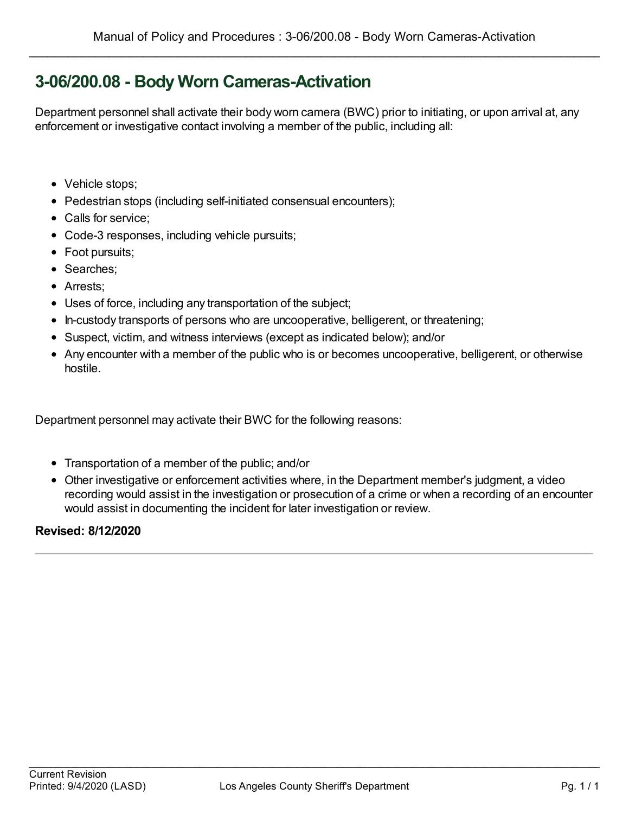# **3-06/200.08 - Body Worn Cameras-Activation**

Department personnel shall activate their body worn camera (BWC) prior to initiating, or upon arrival at, any enforcement or investigative contact involving a member of the public, including all:

- Vehicle stops;
- Pedestrian stops (including self-initiated consensual encounters);
- Calls for service:
- Code-3 responses, including vehicle pursuits;
- Foot pursuits;
- Searches;
- Arrests;
- Uses of force, including any transportation of the subject;
- In-custody transports of persons who are uncooperative, belligerent, or threatening;
- Suspect, victim, and witness interviews (except as indicated below); and/or
- Any encounter with a member of the public who is or becomes uncooperative, belligerent, or otherwise hostile.

Department personnel may activate their BWC for the following reasons:

- Transportation of a member of the public; and/or
- Other investigative or enforcement activities where, in the Department member's judgment, a video recording would assist in the investigation or prosecution of a crime or when a recording of an encounter would assist in documenting the incident for later investigation or review.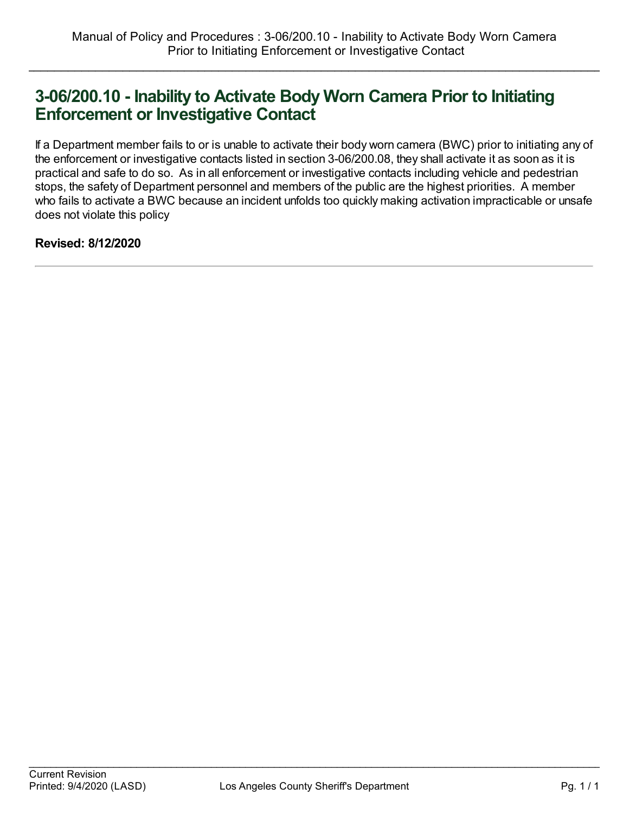### **3-06/200.10 - Inability to Activate Body Worn Camera Prior to Initiating Enforcement or Investigative Contact**

If a Department member fails to or is unable to activate their body worn camera (BWC) prior to initiating any of the enforcement or investigative contacts listed in section 3-06/200.08, they shall activate it as soon as it is practical and safe to do so. As in all enforcement or investigative contacts including vehicle and pedestrian stops, the safety of Department personnel and members of the public are the highest priorities. A member who fails to activate a BWC because an incident unfolds too quickly making activation impracticable or unsafe does not violate this policy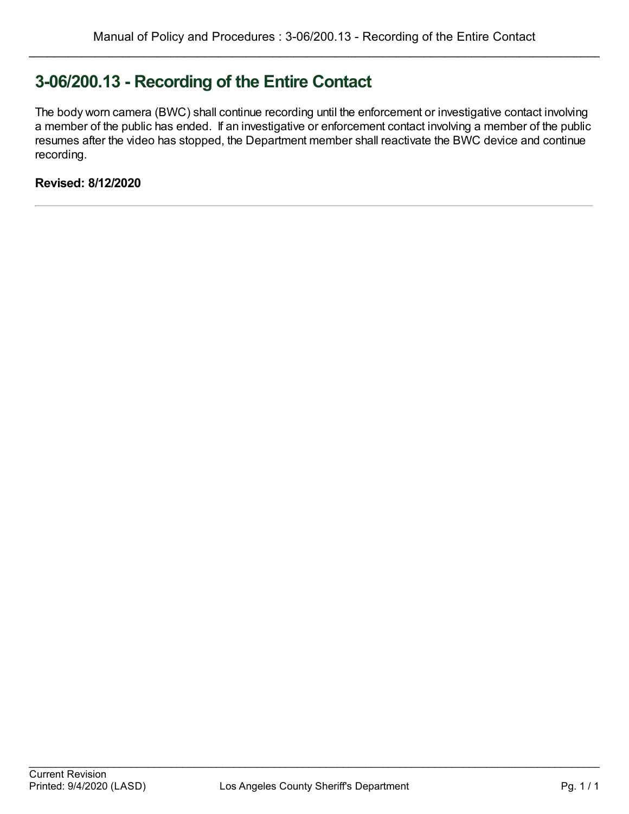# **3-06/200.13 - Recording of the Entire Contact**

The body worn camera (BWC) shall continue recording until the enforcement or investigative contact involving a member of the public has ended. If an investigative or enforcement contact involving a member of the public resumes after the video has stopped, the Department member shall reactivate the BWC device and continue recording.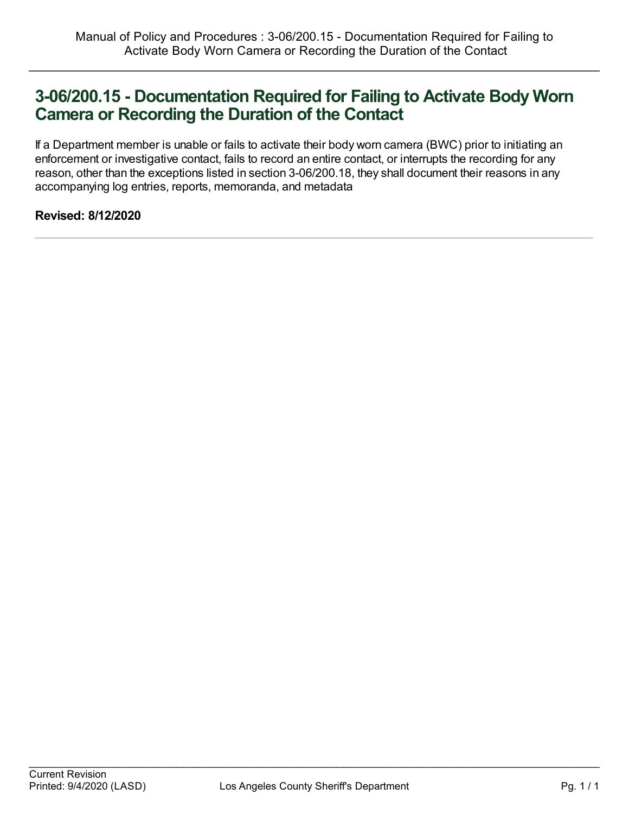### **3-06/200.15 - Documentation Required for Failing to Activate Body Worn Camera or Recording the Duration of the Contact**

If a Department member is unable or fails to activate their body worn camera (BWC) prior to initiating an enforcement or investigative contact, fails to record an entire contact, or interrupts the recording for any reason, other than the exceptions listed in section 3-06/200.18, they shall document their reasons in any accompanying log entries, reports, memoranda, and metadata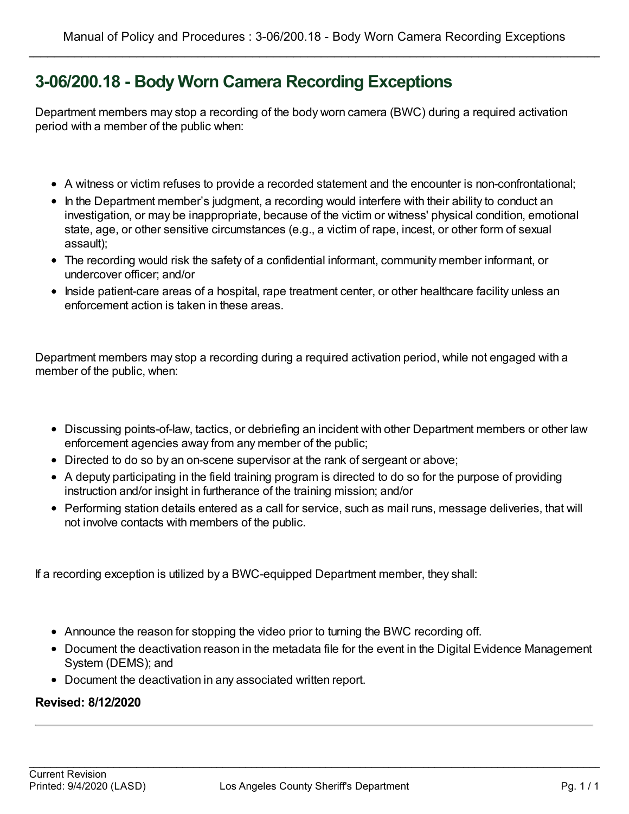# **3-06/200.18 - Body Worn Camera Recording Exceptions**

Department members may stop a recording of the body worn camera (BWC) during a required activation period with a member of the public when:

- A witness or victim refuses to provide a recorded statement and the encounter is non-confrontational;
- In the Department member's judgment, a recording would interfere with their ability to conduct an investigation, or may be inappropriate, because of the victim or witness' physical condition, emotional state, age, or other sensitive circumstances (e.g., a victim of rape, incest, or other form of sexual assault);
- The recording would risk the safety of a confidential informant, community member informant, or undercover officer; and/or
- Inside patient-care areas of a hospital, rape treatment center, or other healthcare facility unless an enforcement action is taken in these areas.

Department members may stop a recording during a required activation period, while not engaged with a member of the public, when:

- Discussing points-of-law, tactics, or debriefing an incident with other Department members or other law enforcement agencies away from any member of the public;
- Directed to do so by an on-scene supervisor at the rank of sergeant or above;
- A deputy participating in the field training program is directed to do so for the purpose of providing instruction and/or insight in furtherance of the training mission; and/or
- Performing station details entered as a call for service, such as mail runs, message deliveries, that will not involve contacts with members of the public.

If a recording exception is utilized by a BWC-equipped Department member, they shall:

- Announce the reason for stopping the video prior to turning the BWC recording off.
- Document the deactivation reason in the metadata file for the event in the Digital Evidence Management System (DEMS); and
- Document the deactivation in any associated written report.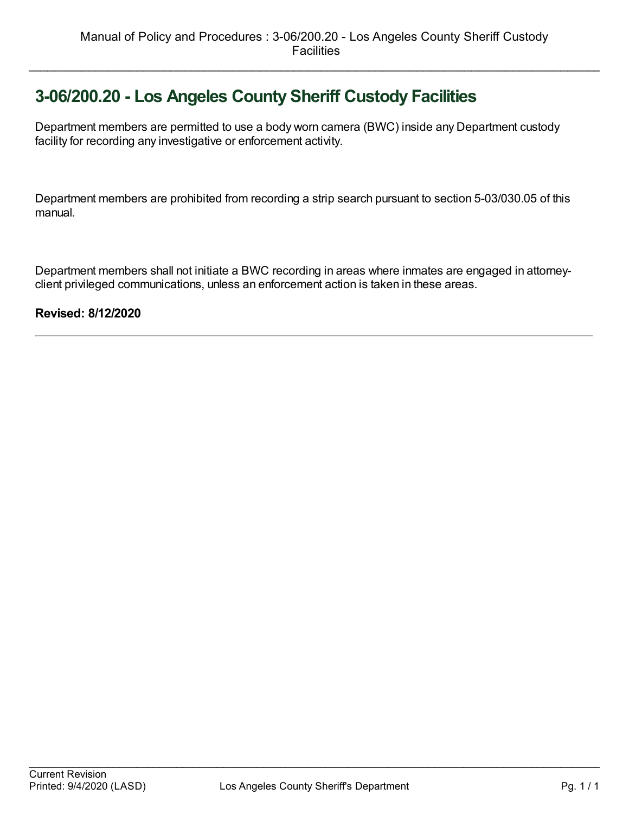# **3-06/200.20 - Los Angeles County Sheriff Custody Facilities**

Department members are permitted to use a body worn camera (BWC) inside any Department custody facility for recording any investigative or enforcement activity.

Department members are prohibited from recording a strip search pursuant to section 5-03/030.05 of this manual.

Department members shall not initiate a BWC recording in areas where inmates are engaged in attorneyclient privileged communications, unless an enforcement action is taken in these areas.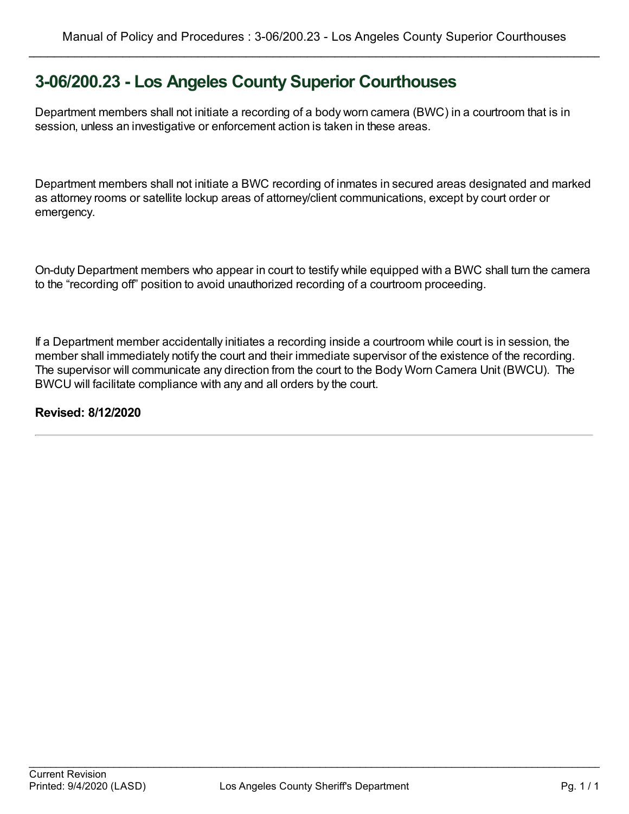### **3-06/200.23 - Los Angeles County Superior Courthouses**

Department members shall not initiate a recording of a body worn camera (BWC) in a courtroom that is in session, unless an investigative or enforcement action is taken in these areas.

Department members shall not initiate a BWC recording of inmates in secured areas designated and marked as attorney rooms or satellite lockup areas of attorney/client communications, except by court order or emergency.

On-duty Department members who appear in court to testify while equipped with a BWC shall turn the camera to the "recording off" position to avoid unauthorized recording of a courtroom proceeding.

If a Department member accidentally initiates a recording inside a courtroom while court is in session, the member shall immediately notify the court and their immediate supervisor of the existence of the recording. The supervisor will communicate any direction from the court to the Body Worn Camera Unit (BWCU). The BWCU will facilitate compliance with any and all orders by the court.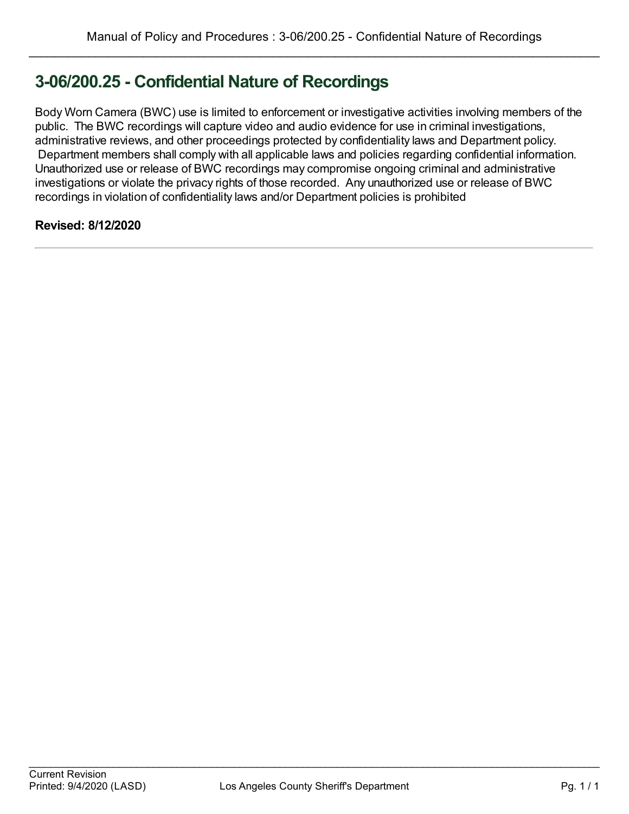# **3-06/200.25 - Confidential Nature of Recordings**

Body Worn Camera (BWC) use is limited to enforcement or investigative activities involving members of the public. The BWC recordings will capture video and audio evidence for use in criminal investigations, administrative reviews, and other proceedings protected by confidentiality laws and Department policy. Department members shall comply with all applicable laws and policies regarding confidential information. Unauthorized use or release of BWC recordings may compromise ongoing criminal and administrative investigations or violate the privacy rights of those recorded. Any unauthorized use or release of BWC recordings in violation of confidentiality laws and/or Department policies is prohibited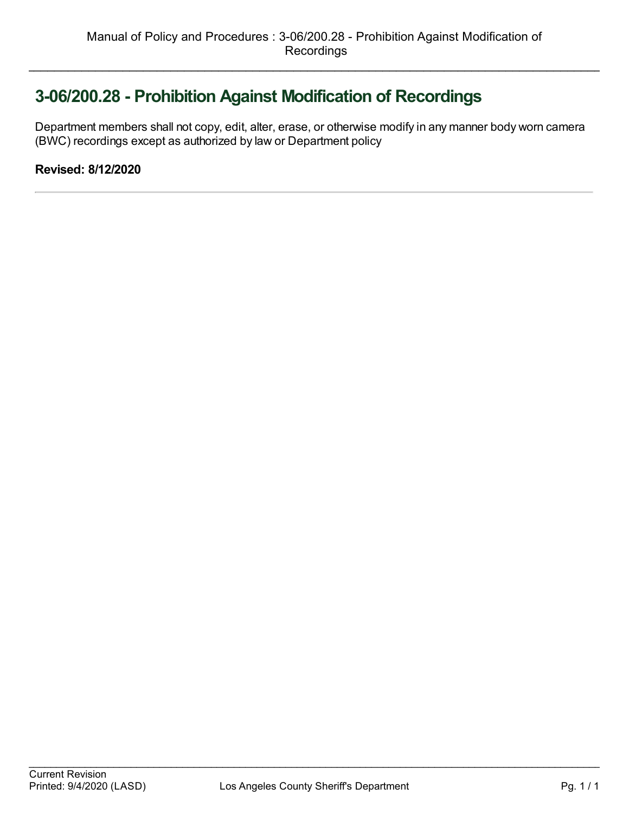# **3-06/200.28 - Prohibition Against Modification of Recordings**

Department members shall not copy, edit, alter, erase, or otherwise modify in any manner body worn camera (BWC) recordings except as authorized by law or Department policy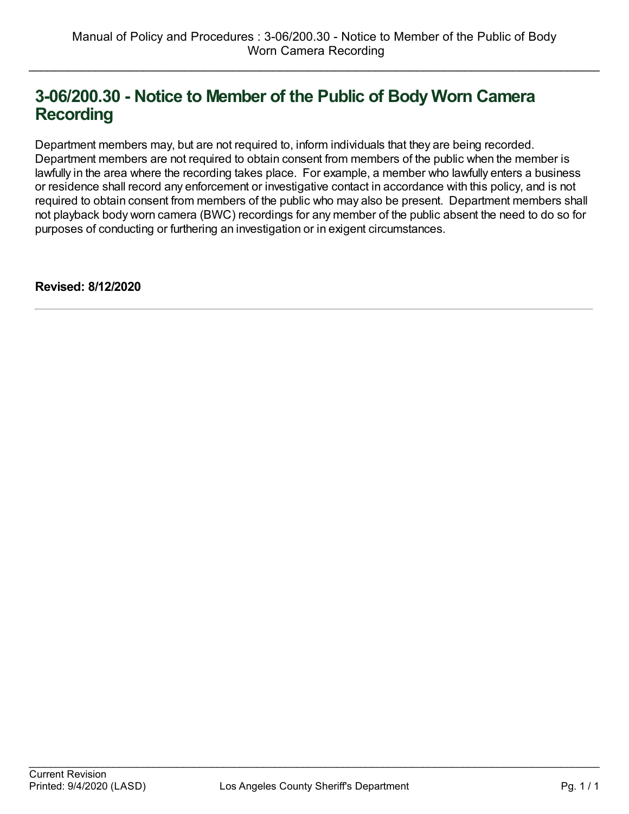# **3-06/200.30 - Notice to Member of the Public of Body Worn Camera Recording**

Department members may, but are not required to, inform individuals that they are being recorded. Department members are not required to obtain consent from members of the public when the member is lawfully in the area where the recording takes place. For example, a member who lawfully enters a business or residence shall record any enforcement or investigative contact in accordance with this policy, and is not required to obtain consent from members of the public who may also be present. Department members shall not playback body worn camera (BWC) recordings for any member of the public absent the need to do so for purposes of conducting or furthering an investigation or in exigent circumstances.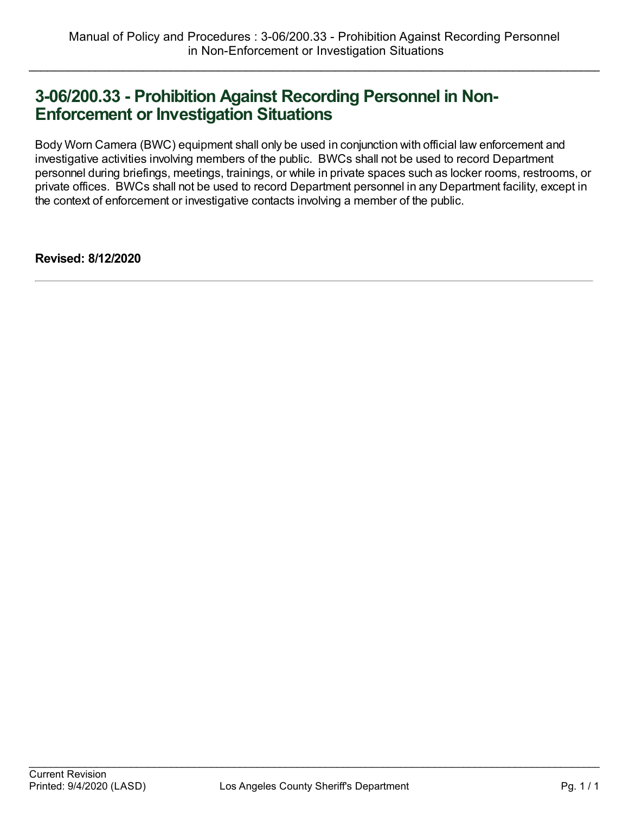### **3-06/200.33 - Prohibition Against Recording Personnel in Non-Enforcement or Investigation Situations**

Body Worn Camera (BWC) equipment shall only be used in conjunction with official law enforcement and investigative activities involving members of the public. BWCs shall not be used to record Department personnel during briefings, meetings, trainings, or while in private spaces such as locker rooms, restrooms, or private offices. BWCs shall not be used to record Department personnel in any Department facility, except in the context of enforcement or investigative contacts involving a member of the public.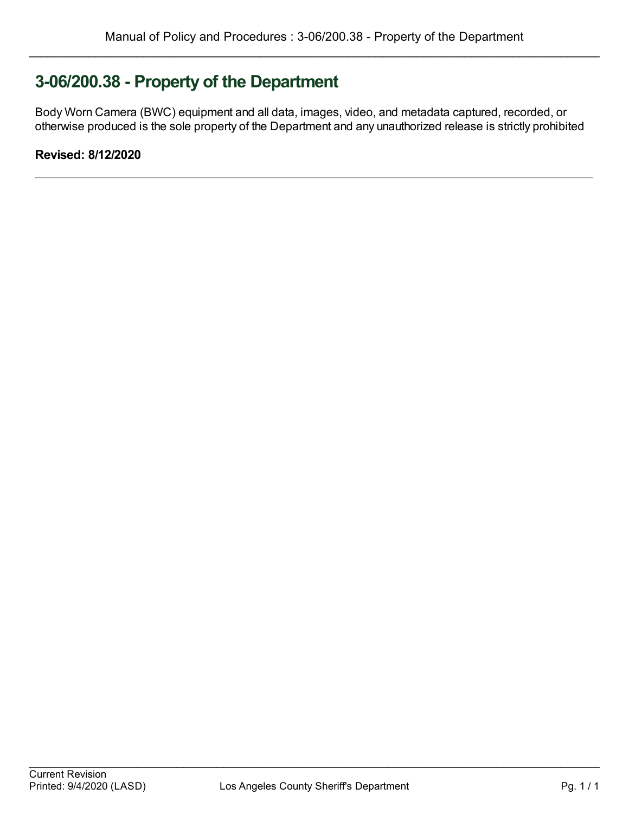# **3-06/200.38 - Property of the Department**

Body Worn Camera (BWC) equipment and all data, images, video, and metadata captured, recorded, or otherwise produced is the sole property of the Department and any unauthorized release is strictly prohibited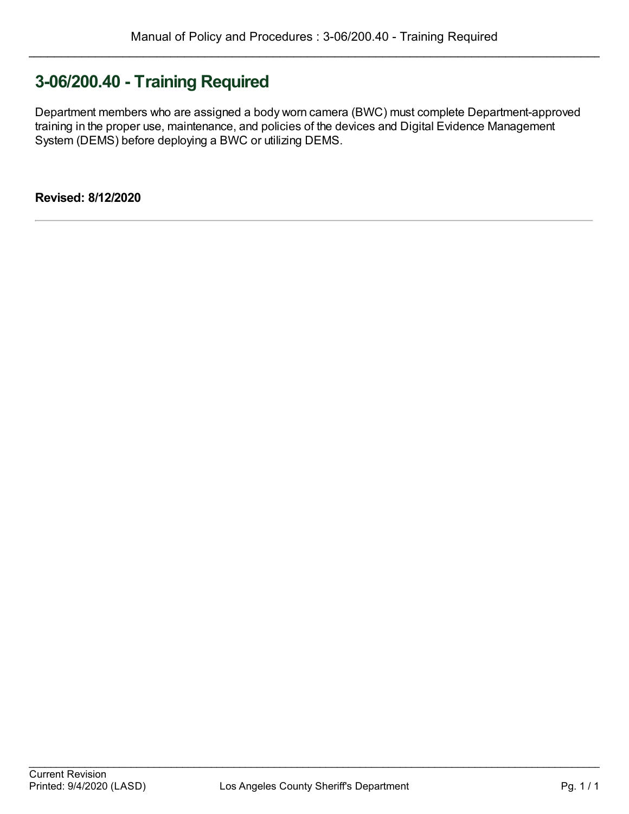### **3-06/200.40 - Training Required**

Department members who are assigned a body worn camera (BWC) must complete Department-approved training in the proper use, maintenance, and policies of the devices and Digital Evidence Management System (DEMS) before deploying a BWC or utilizing DEMS.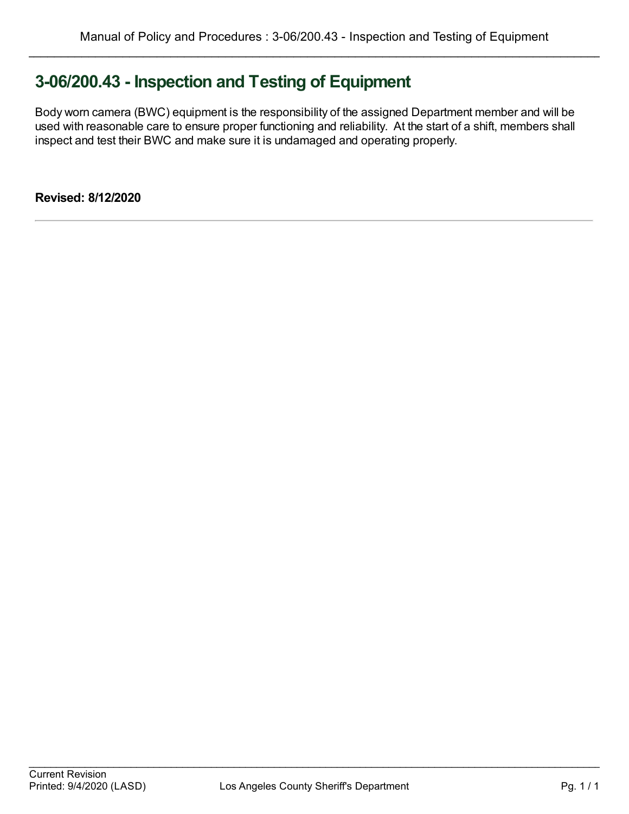# **3-06/200.43 - Inspection and Testing of Equipment**

Body worn camera (BWC) equipment is the responsibility of the assigned Department member and will be used with reasonable care to ensure proper functioning and reliability. At the start of a shift, members shall inspect and test their BWC and make sure it is undamaged and operating properly.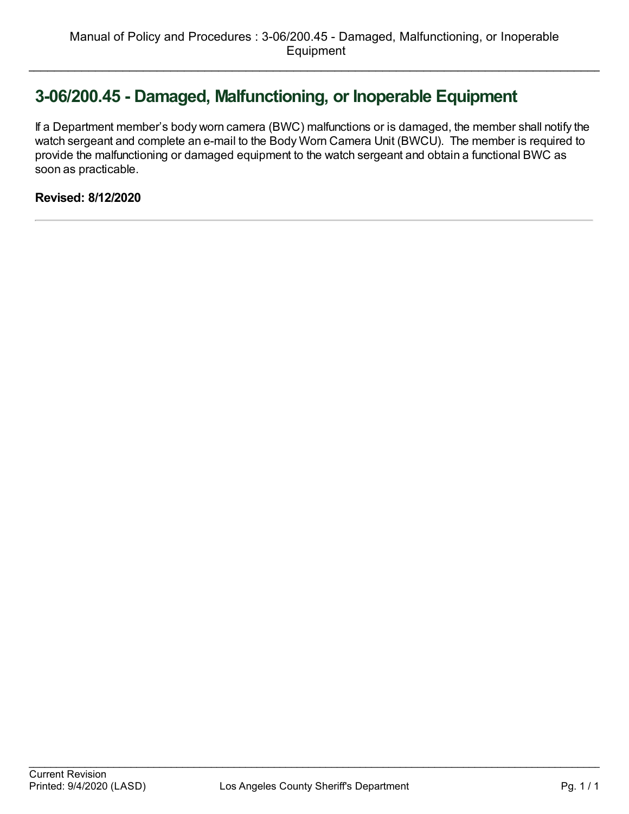# **3-06/200.45 - Damaged, Malfunctioning, or Inoperable Equipment**

If a Department member's body worn camera (BWC) malfunctions or is damaged, the member shall notify the watch sergeant and complete an e-mail to the Body Worn Camera Unit (BWCU). The member is required to provide the malfunctioning or damaged equipment to the watch sergeant and obtain a functional BWC as soon as practicable.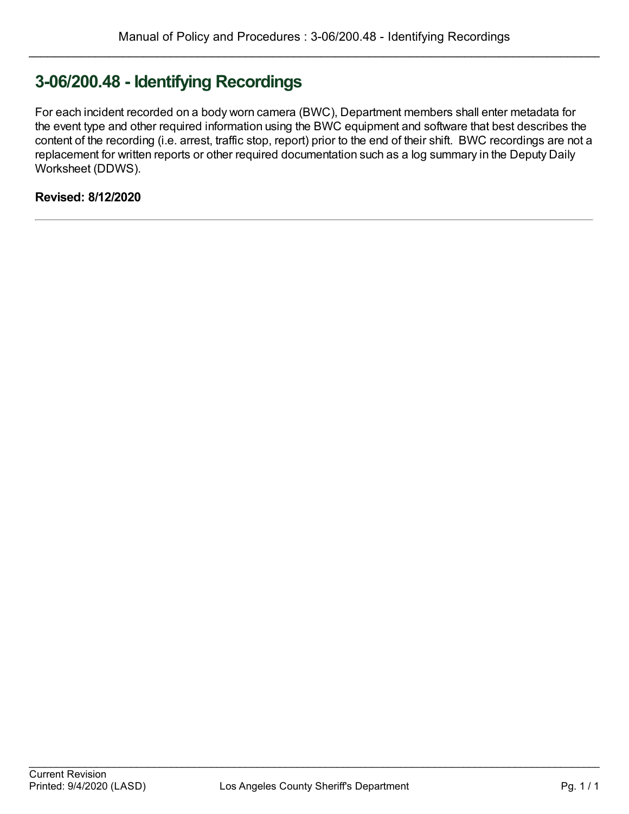# **3-06/200.48 - Identifying Recordings**

For each incident recorded on a body worn camera (BWC), Department members shall enter metadata for the event type and other required information using the BWC equipment and software that best describes the content of the recording (i.e. arrest, traffic stop, report) prior to the end of their shift. BWC recordings are not a replacement for written reports or other required documentation such as a log summary in the Deputy Daily Worksheet (DDWS).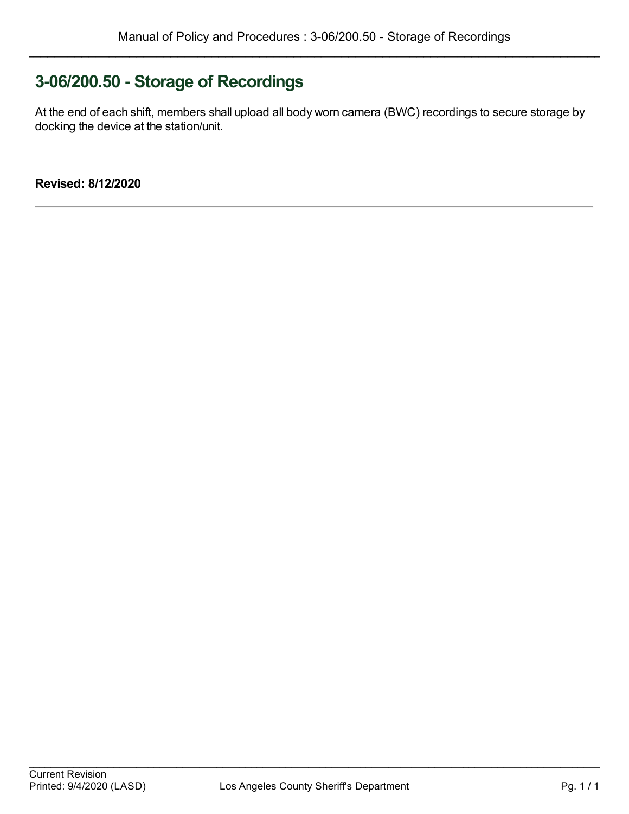# **3-06/200.50 - Storage of Recordings**

At the end of each shift, members shall upload all body worn camera (BWC) recordings to secure storage by docking the device at the station/unit.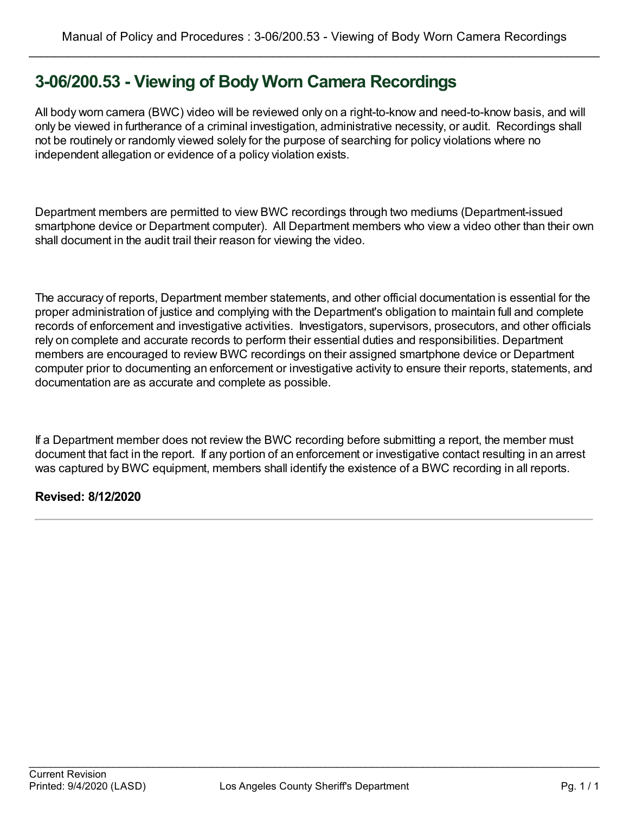# **3-06/200.53 - Viewing of Body Worn Camera Recordings**

All body worn camera (BWC) video will be reviewed only on a right-to-know and need-to-know basis, and will only be viewed in furtherance of a criminal investigation, administrative necessity, or audit. Recordings shall not be routinely or randomly viewed solely for the purpose of searching for policy violations where no independent allegation or evidence of a policy violation exists.

Department members are permitted to view BWC recordings through two mediums (Department-issued smartphone device or Department computer). All Department members who view a video other than their own shall document in the audit trail their reason for viewing the video.

The accuracy of reports, Department member statements, and other official documentation is essential for the proper administration of justice and complying with the Department's obligation to maintain full and complete records of enforcement and investigative activities. Investigators, supervisors, prosecutors, and other officials rely on complete and accurate records to perform their essential duties and responsibilities. Department members are encouraged to review BWC recordings on their assigned smartphone device or Department computer prior to documenting an enforcement or investigative activity to ensure their reports, statements, and documentation are as accurate and complete as possible.

If a Department member does not review the BWC recording before submitting a report, the member must document that fact in the report. If any portion of an enforcement or investigative contact resulting in an arrest was captured by BWC equipment, members shall identify the existence of a BWC recording in all reports.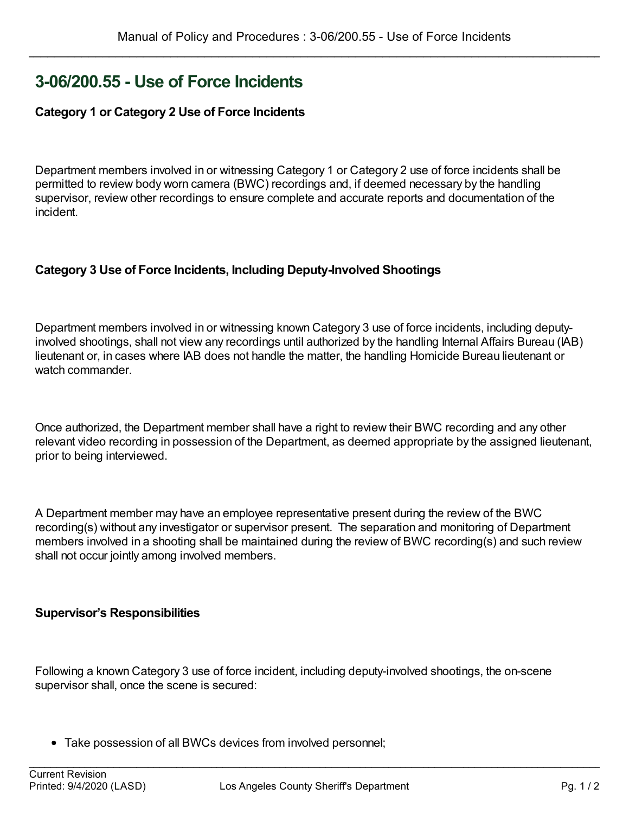### **3-06/200.55 - Use of Force Incidents**

#### **Category 1 or Category 2 Use of Force Incidents**

Department members involved in or witnessing Category 1 or Category 2 use of force incidents shall be permitted to review body worn camera (BWC) recordings and, if deemed necessary by the handling supervisor, review other recordings to ensure complete and accurate reports and documentation of the incident.

#### **Category 3 Use of Force Incidents, Including Deputy-Involved Shootings**

Department members involved in or witnessing known Category 3 use of force incidents, including deputyinvolved shootings, shall not view any recordings until authorized by the handling Internal Affairs Bureau (IAB) lieutenant or, in cases where IAB does not handle the matter, the handling Homicide Bureau lieutenant or watch commander.

Once authorized, the Department member shall have a right to review their BWC recording and any other relevant video recording in possession of the Department, as deemed appropriate by the assigned lieutenant, prior to being interviewed.

A Department member may have an employee representative present during the review of the BWC recording(s) without any investigator or supervisor present. The separation and monitoring of Department members involved in a shooting shall be maintained during the review of BWC recording(s) and such review shall not occur jointly among involved members.

#### **Supervisor's Responsibilities**

Following a known Category 3 use of force incident, including deputy-involved shootings, the on-scene supervisor shall, once the scene is secured:

Take possession of all BWCs devices from involved personnel;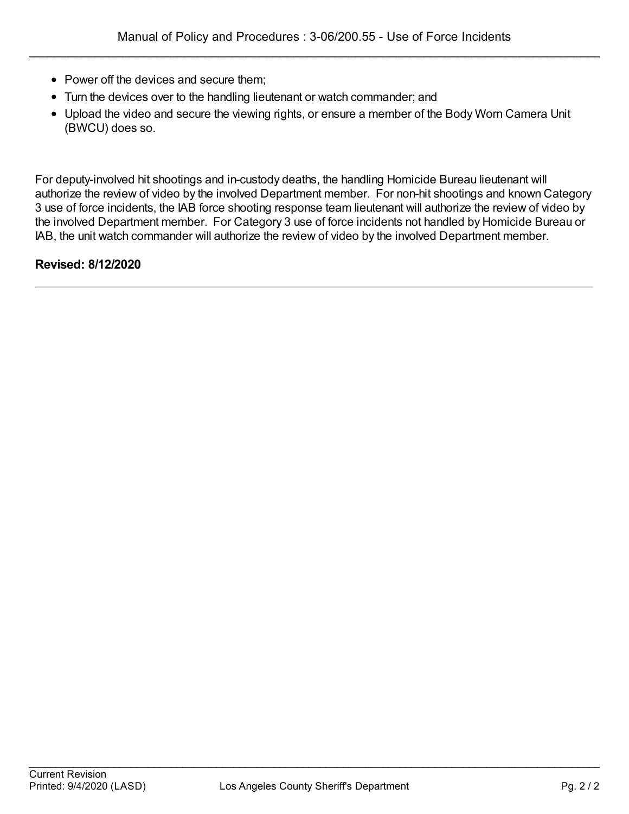- Power off the devices and secure them;
- Turn the devices over to the handling lieutenant or watch commander; and
- Upload the video and secure the viewing rights, or ensure a member of the Body Worn Camera Unit (BWCU) does so.

For deputy-involved hit shootings and in-custody deaths, the handling Homicide Bureau lieutenant will authorize the review of video by the involved Department member. For non-hit shootings and known Category 3 use of force incidents, the IAB force shooting response team lieutenant will authorize the review of video by the involved Department member. For Category 3 use of force incidents not handled by Homicide Bureau or IAB, the unit watch commander will authorize the review of video by the involved Department member.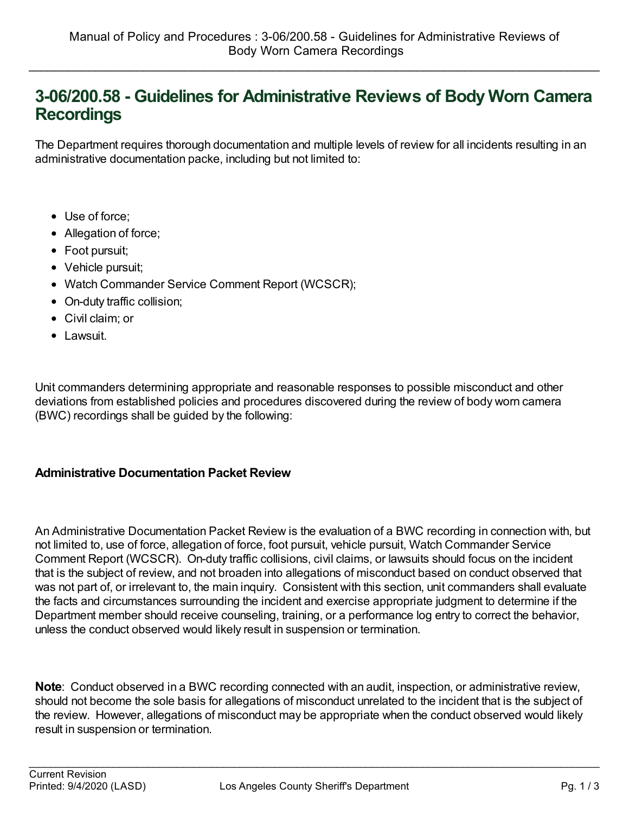### **3-06/200.58 - Guidelines for Administrative Reviews of Body Worn Camera Recordings**

The Department requires thorough documentation and multiple levels of review for all incidents resulting in an administrative documentation packe, including but not limited to:

- Use of force;
- Allegation of force;
- Foot pursuit;
- Vehicle pursuit;
- Watch Commander Service Comment Report (WCSCR);
- On-duty traffic collision;
- Civil claim; or
- Lawsuit.

Unit commanders determining appropriate and reasonable responses to possible misconduct and other deviations from established policies and procedures discovered during the review of body worn camera (BWC) recordings shall be guided by the following:

#### **Administrative Documentation Packet Review**

An Administrative Documentation Packet Review is the evaluation of a BWC recording in connection with, but not limited to, use of force, allegation of force, foot pursuit, vehicle pursuit, Watch Commander Service Comment Report (WCSCR). On-duty traffic collisions, civil claims, or lawsuits should focus on the incident that is the subject of review, and not broaden into allegations of misconduct based on conduct observed that was not part of, or irrelevant to, the main inquiry. Consistent with this section, unit commanders shall evaluate the facts and circumstances surrounding the incident and exercise appropriate judgment to determine if the Department member should receive counseling, training, or a performance log entry to correct the behavior, unless the conduct observed would likely result in suspension or termination.

**Note**: Conduct observed in a BWC recording connected with an audit, inspection, or administrative review, should not become the sole basis for allegations of misconduct unrelated to the incident that is the subject of the review. However, allegations of misconduct may be appropriate when the conduct observed would likely result in suspension or termination.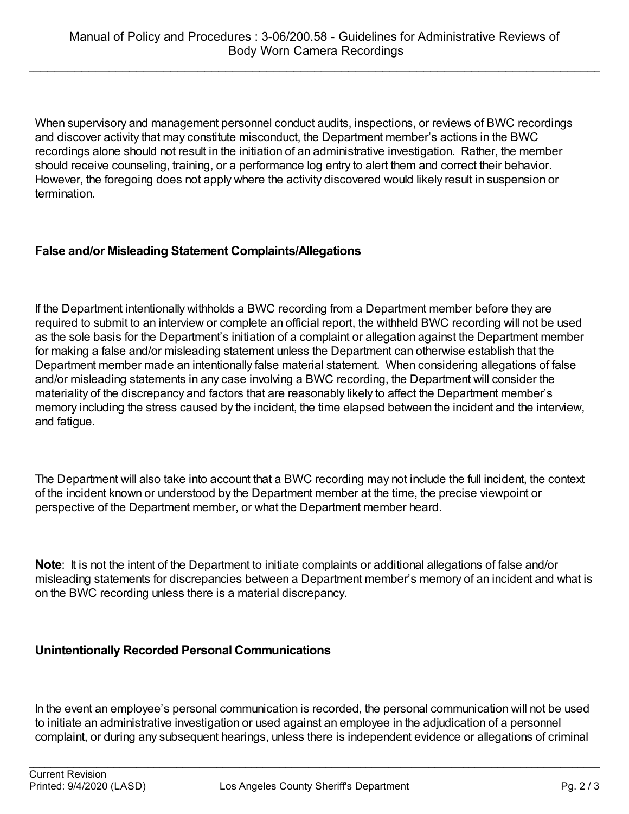When supervisory and management personnel conduct audits, inspections, or reviews of BWC recordings and discover activity that may constitute misconduct, the Department member's actions in the BWC recordings alone should not result in the initiation of an administrative investigation. Rather, the member should receive counseling, training, or a performance log entry to alert them and correct their behavior. However, the foregoing does not apply where the activity discovered would likely result in suspension or termination.

#### **False and/or Misleading Statement Complaints/Allegations**

If the Department intentionally withholds a BWC recording from a Department member before they are required to submit to an interview or complete an official report, the withheld BWC recording will not be used as the sole basis for the Department's initiation of a complaint or allegation against the Department member for making a false and/or misleading statement unless the Department can otherwise establish that the Department member made an intentionally false material statement. When considering allegations of false and/or misleading statements in any case involving a BWC recording, the Department will consider the materiality of the discrepancy and factors that are reasonably likely to affect the Department member's memory including the stress caused by the incident, the time elapsed between the incident and the interview, and fatigue.

The Department will also take into account that a BWC recording may not include the full incident, the context of the incident known or understood by the Department member at the time, the precise viewpoint or perspective of the Department member, or what the Department member heard.

**Note:** It is not the intent of the Department to initiate complaints or additional allegations of false and/or misleading statements for discrepancies between a Department member's memory of an incident and what is on the BWC recording unless there is a material discrepancy.

#### **Unintentionally Recorded Personal Communications**

In the event an employee's personal communication is recorded, the personal communication will not be used to initiate an administrative investigation or used against an employee in the adjudication of a personnel complaint, or during any subsequent hearings, unless there is independent evidence or allegations of criminal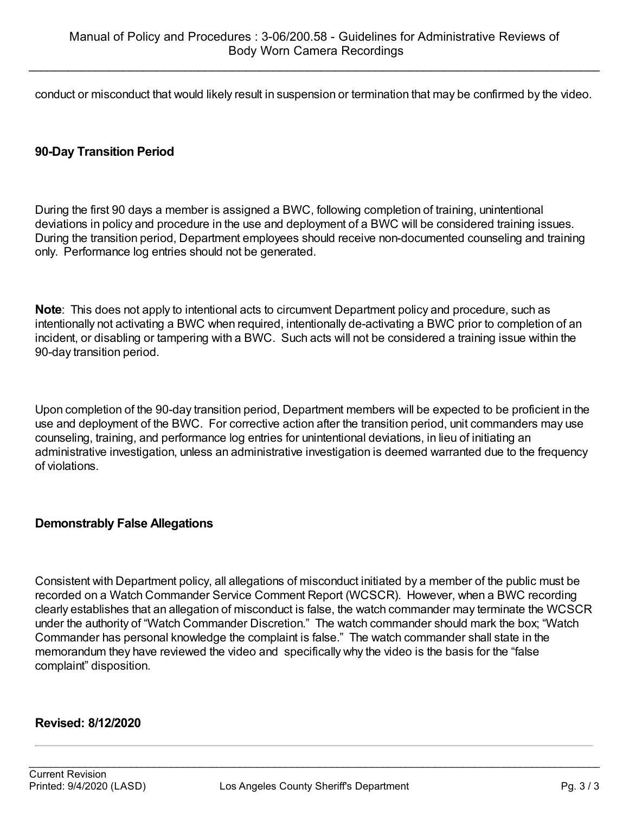conduct or misconduct that would likely result in suspension or termination that may be confirmed by the video.

#### **90-Day Transition Period**

During the first 90 days a member is assigned a BWC, following completion of training, unintentional deviations in policy and procedure in the use and deployment of a BWC will be considered training issues. During the transition period, Department employees should receive non-documented counseling and training only. Performance log entries should not be generated.

**Note**: This does not apply to intentional acts to circumvent Department policy and procedure, such as intentionally not activating a BWC when required, intentionally de-activating a BWC prior to completion of an incident, or disabling or tampering with a BWC. Such acts will not be considered a training issue within the 90-day transition period.

Upon completion of the 90-day transition period, Department members will be expected to be proficient in the use and deployment of the BWC. For corrective action after the transition period, unit commanders may use counseling, training, and performance log entries for unintentional deviations, in lieu of initiating an administrative investigation, unless an administrative investigation is deemed warranted due to the frequency of violations.

#### **Demonstrably False Allegations**

Consistent with Department policy, all allegations of misconduct initiated by a member of the public must be recorded on a Watch Commander Service Comment Report (WCSCR). However, when a BWC recording clearly establishes that an allegation of misconduct is false, the watch commander may terminate the WCSCR under the authority of "Watch Commander Discretion." The watch commander should mark the box; "Watch Commander has personal knowledge the complaint is false." The watch commander shall state in the memorandum they have reviewed the video and specifically why the video is the basis for the "false complaint" disposition.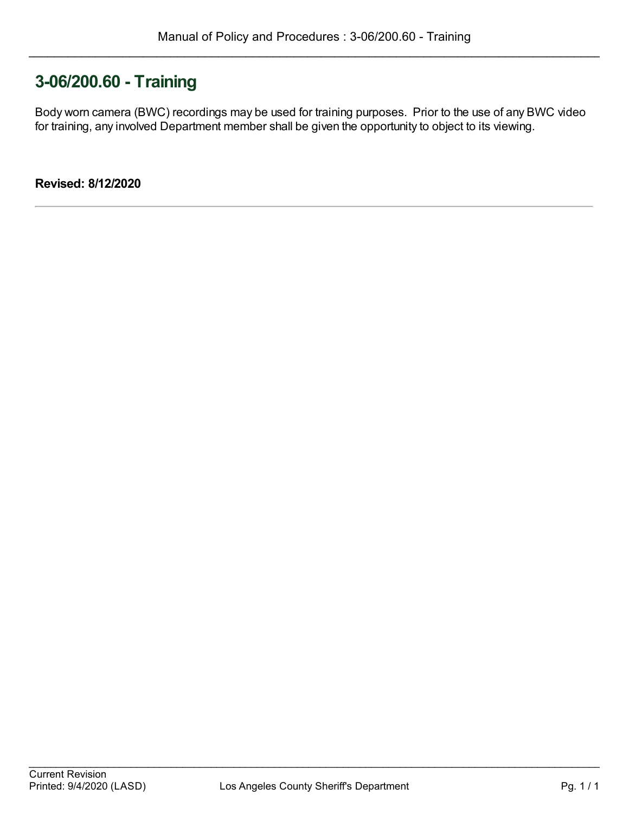## **3-06/200.60 - Training**

Body worn camera (BWC) recordings may be used for training purposes. Prior to the use of any BWC video for training, any involved Department member shall be given the opportunity to object to its viewing.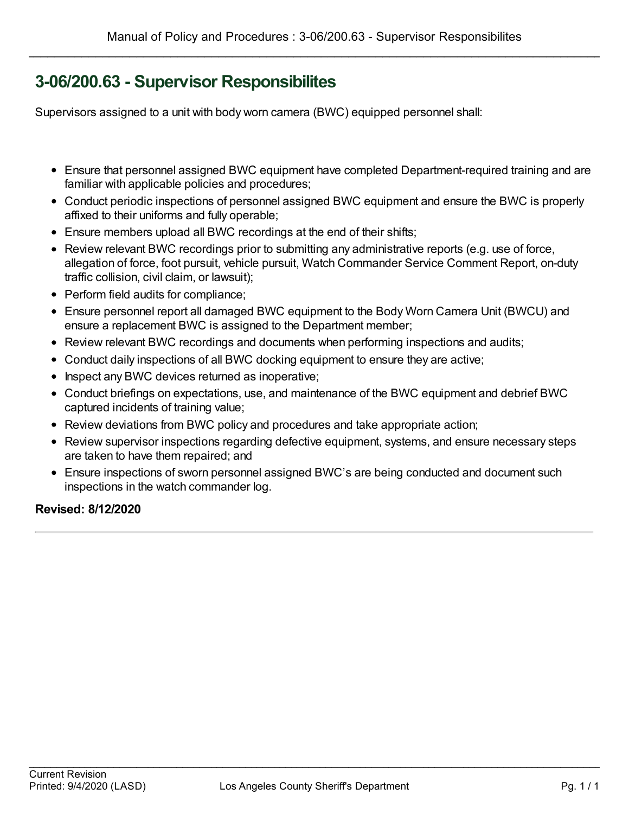# **3-06/200.63 - Supervisor Responsibilites**

Supervisors assigned to a unit with body worn camera (BWC) equipped personnel shall:

- Ensure that personnel assigned BWC equipment have completed Department-required training and are familiar with applicable policies and procedures;
- Conduct periodic inspections of personnel assigned BWC equipment and ensure the BWC is properly affixed to their uniforms and fully operable;
- Ensure members upload all BWC recordings at the end of their shifts;
- Review relevant BWC recordings prior to submitting any administrative reports (e.g. use of force, allegation of force, foot pursuit, vehicle pursuit, Watch Commander Service Comment Report, on-duty traffic collision, civil claim, or lawsuit);
- Perform field audits for compliance;
- Ensure personnel report all damaged BWC equipment to the Body Worn Camera Unit (BWCU) and ensure a replacement BWC is assigned to the Department member;
- Review relevant BWC recordings and documents when performing inspections and audits;
- Conduct daily inspections of all BWC docking equipment to ensure they are active;
- Inspect any BWC devices returned as inoperative;
- Conduct briefings on expectations, use, and maintenance of the BWC equipment and debrief BWC captured incidents of training value;
- Review deviations from BWC policy and procedures and take appropriate action;
- Review supervisor inspections regarding defective equipment, systems, and ensure necessary steps are taken to have them repaired; and
- Ensure inspections of sworn personnel assigned BWC's are being conducted and document such inspections in the watch commander log.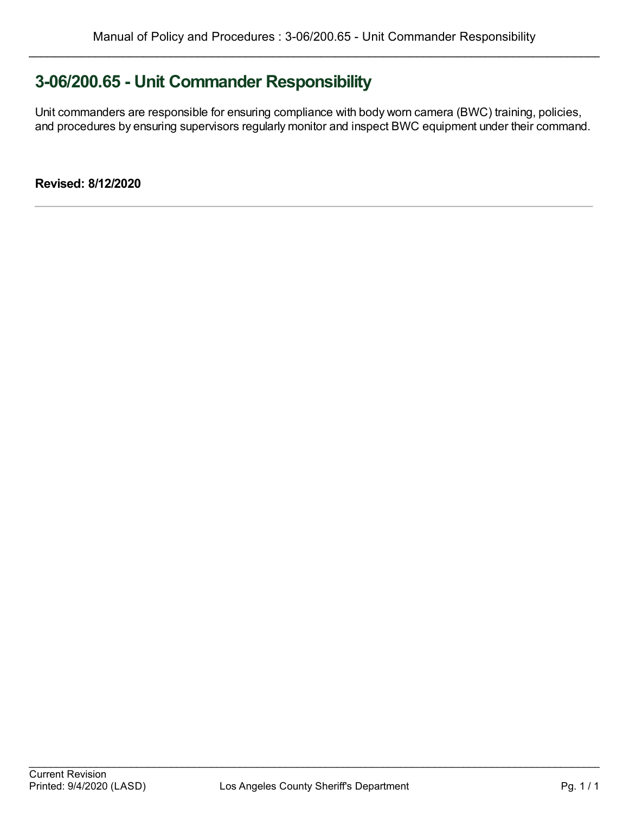# **3-06/200.65 - Unit Commander Responsibility**

Unit commanders are responsible for ensuring compliance with body worn camera (BWC) training, policies, and procedures by ensuring supervisors regularly monitor and inspect BWC equipment under their command.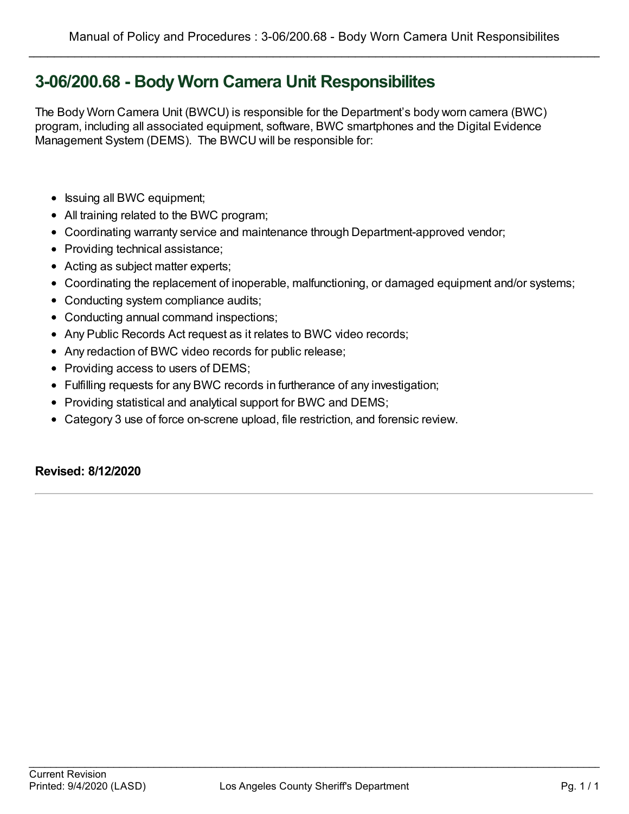# **3-06/200.68 - Body Worn Camera Unit Responsibilites**

The Body Worn Camera Unit (BWCU) is responsible for the Department's body worn camera (BWC) program, including all associated equipment, software, BWC smartphones and the Digital Evidence Management System (DEMS). The BWCU will be responsible for:

- Issuing all BWC equipment;
- All training related to the BWC program;
- Coordinating warranty service and maintenance through Department-approved vendor;
- Providing technical assistance;
- Acting as subject matter experts;
- Coordinating the replacement of inoperable, malfunctioning, or damaged equipment and/or systems;
- Conducting system compliance audits;
- Conducting annual command inspections;
- Any Public Records Act request as it relates to BWC video records;
- Any redaction of BWC video records for public release;
- Providing access to users of DEMS;
- Fulfilling requests for any BWC records in furtherance of any investigation;
- Providing statistical and analytical support for BWC and DEMS;
- Category 3 use of force on-screne upload, file restriction, and forensic review.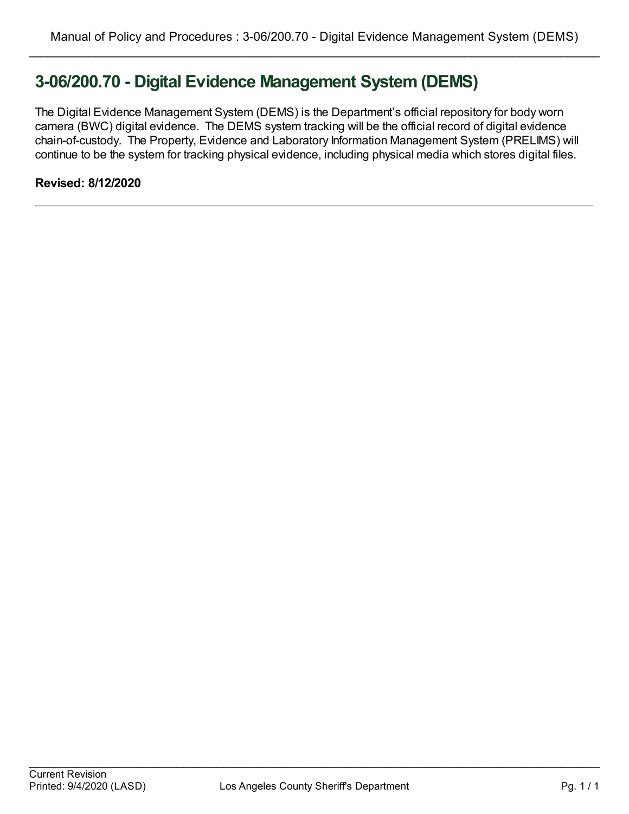# **3-06/200.70 - Digital Evidence Management System (DEMS)**

The Digital Evidence Management System (DEMS) is the Department's official repository for body worn camera (BWC) digital evidence. The DEMS system tracking will be the official record of digital evidence chain-of-custody. The Property, Evidence and Laboratory Information Management System (PRELIMS) will continue to be the system for tracking physical evidence, including physical media which stores digital files.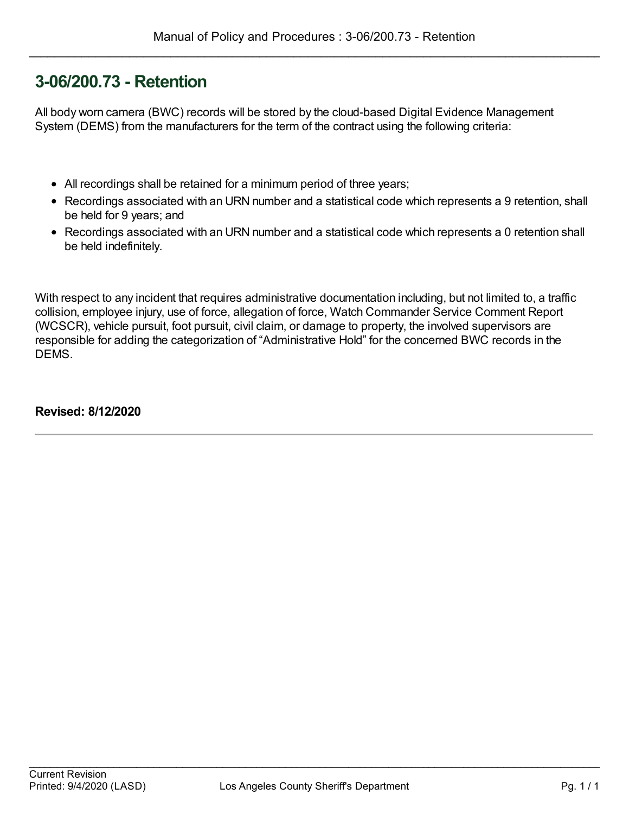# **3-06/200.73 - Retention**

All body worn camera (BWC) records will be stored by the cloud-based Digital Evidence Management System (DEMS) from the manufacturers for the term of the contract using the following criteria:

- All recordings shall be retained for a minimum period of three years;
- Recordings associated with an URN number and a statistical code which represents a 9 retention, shall be held for 9 years; and
- Recordings associated with an URN number and a statistical code which represents a 0 retention shall be held indefinitely.

With respect to any incident that requires administrative documentation including, but not limited to, a traffic collision, employee injury, use of force, allegation of force, Watch Commander Service Comment Report (WCSCR), vehicle pursuit, foot pursuit, civil claim, or damage to property, the involved supervisors are responsible for adding the categorization of "Administrative Hold" for the concerned BWC records in the DEMS.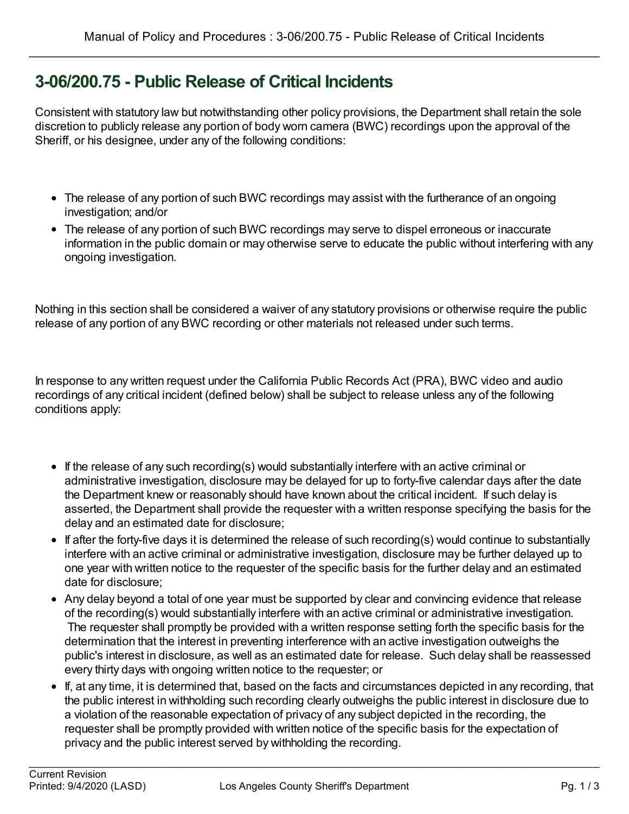# **3-06/200.75 - Public Release of Critical Incidents**

Consistent with statutory law but notwithstanding other policy provisions, the Department shall retain the sole discretion to publicly release any portion of body worn camera (BWC) recordings upon the approval of the Sheriff, or his designee, under any of the following conditions:

- The release of any portion of such BWC recordings may assist with the furtherance of an ongoing investigation; and/or
- The release of any portion of such BWC recordings may serve to dispel erroneous or inaccurate information in the public domain or may otherwise serve to educate the public without interfering with any ongoing investigation.

Nothing in this section shall be considered a waiver of any statutory provisions or otherwise require the public release of any portion of any BWC recording or other materials not released under such terms.

In response to any written request under the California Public Records Act (PRA), BWC video and audio recordings of any critical incident (defined below) shall be subject to release unless any of the following conditions apply:

- If the release of any such recording(s) would substantially interfere with an active criminal or administrative investigation, disclosure may be delayed for up to forty-five calendar days after the date the Department knew or reasonably should have known about the critical incident. If such delay is asserted, the Department shall provide the requester with a written response specifying the basis for the delay and an estimated date for disclosure;
- If after the forty-five days it is determined the release of such recording(s) would continue to substantially interfere with an active criminal or administrative investigation, disclosure may be further delayed up to one year with written notice to the requester of the specific basis for the further delay and an estimated date for disclosure;
- Any delay beyond a total of one year must be supported by clear and convincing evidence that release of the recording(s) would substantially interfere with an active criminal or administrative investigation. The requester shall promptly be provided with a written response setting forth the specific basis for the determination that the interest in preventing interference with an active investigation outweighs the public's interest in disclosure, as well as an estimated date for release. Such delay shall be reassessed every thirty days with ongoing written notice to the requester; or
- If, at any time, it is determined that, based on the facts and circumstances depicted in any recording, that the public interest in withholding such recording clearly outweighs the public interest in disclosure due to a violation of the reasonable expectation of privacy of any subject depicted in the recording, the requester shall be promptly provided with written notice of the specific basis for the expectation of privacy and the public interest served by withholding the recording.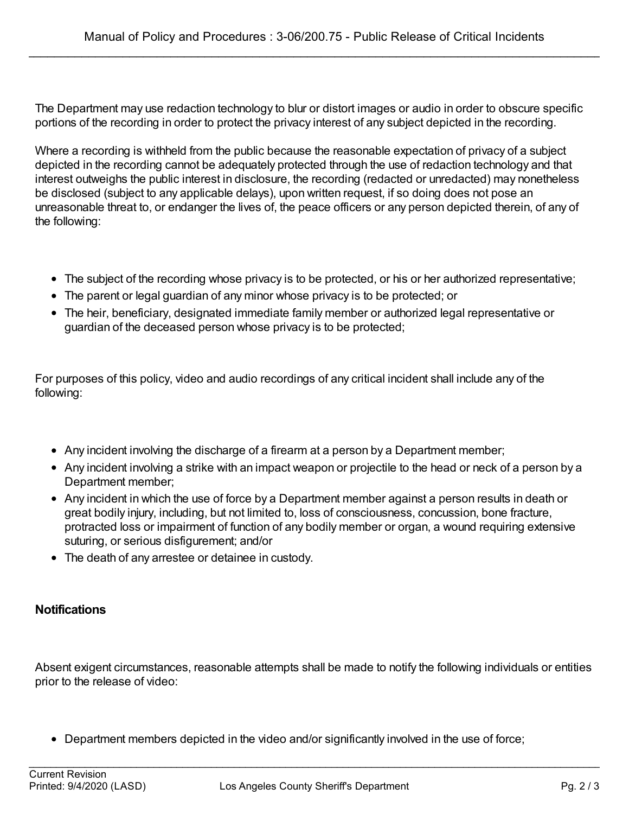The Department may use redaction technology to blur or distort images or audio in order to obscure specific portions of the recording in order to protect the privacy interest of any subject depicted in the recording.

Where a recording is withheld from the public because the reasonable expectation of privacy of a subject depicted in the recording cannot be adequately protected through the use of redaction technology and that interest outweighs the public interest in disclosure, the recording (redacted or unredacted) may nonetheless be disclosed (subject to any applicable delays), upon written request, if so doing does not pose an unreasonable threat to, or endanger the lives of, the peace officers or any person depicted therein, of any of the following:

- The subject of the recording whose privacy is to be protected, or his or her authorized representative;
- The parent or legal guardian of any minor whose privacy is to be protected; or
- The heir, beneficiary, designated immediate family member or authorized legal representative or guardian of the deceased person whose privacy is to be protected;

For purposes of this policy, video and audio recordings of any critical incident shall include any of the following:

- Any incident involving the discharge of a firearm at a person by a Department member;
- Any incident involving a strike with an impact weapon or projectile to the head or neck of a person by a Department member;
- Any incident in which the use of force by a Department member against a person results in death or great bodily injury, including, but not limited to, loss of consciousness, concussion, bone fracture, protracted loss or impairment of function of any bodily member or organ, a wound requiring extensive suturing, or serious disfigurement; and/or
- The death of any arrestee or detainee in custody.

#### **Notifications**

Absent exigent circumstances, reasonable attempts shall be made to notify the following individuals or entities prior to the release of video:

• Department members depicted in the video and/or significantly involved in the use of force;